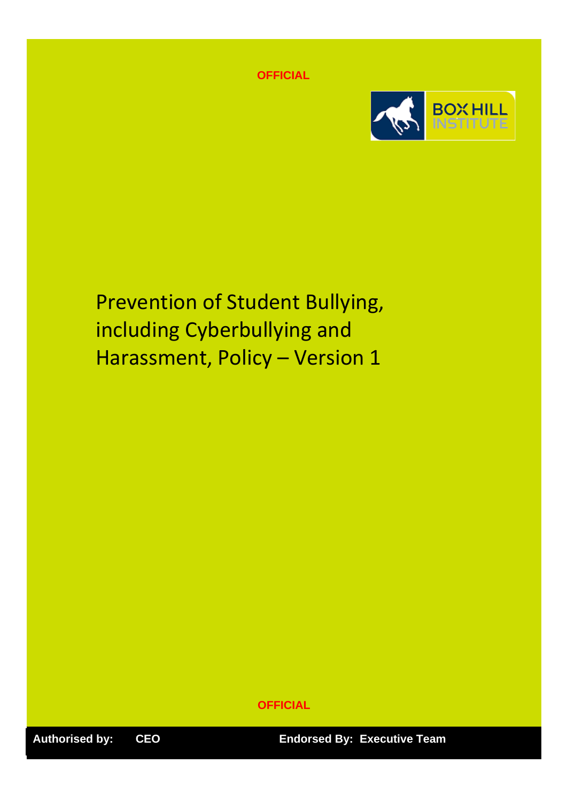**OFFICIAL**



Prevention of Student Bullying, including Cyberbullying and Harassment, Policy – Version 1

**OFFICIAL**

**Authorised by: CEO Endorsed By: Executive Team**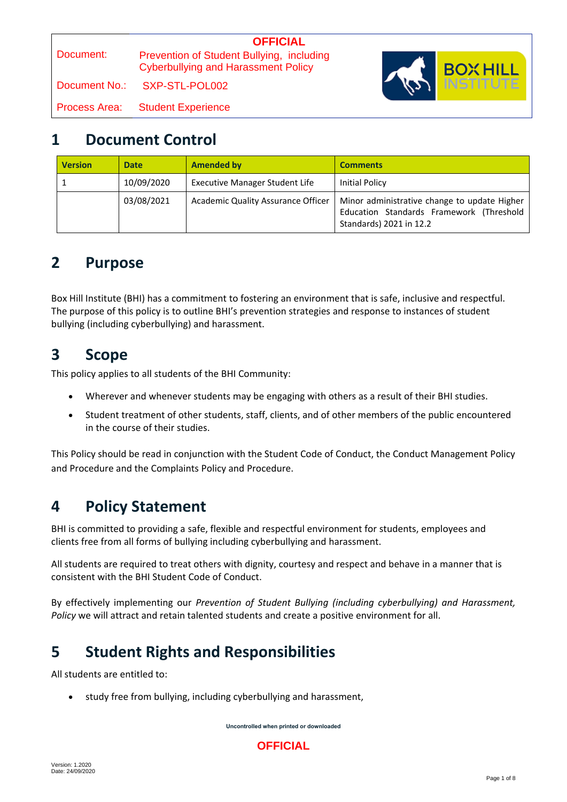Document:  **OFFICIAL** Prevention of Student Bullying, including Cyberbullying and Harassment Policy Document No.: SXP-STL-POL002 Process Area: Student Experience



### **1 Document Control**

| <b>Version</b> | <b>Date</b> | <b>Amended by</b>                  | <b>Comments</b>                                                                                                     |
|----------------|-------------|------------------------------------|---------------------------------------------------------------------------------------------------------------------|
|                | 10/09/2020  | Executive Manager Student Life     | Initial Policy                                                                                                      |
|                | 03/08/2021  | Academic Quality Assurance Officer | Minor administrative change to update Higher<br>Education Standards Framework (Threshold<br>Standards) 2021 in 12.2 |

### **2 Purpose**

Box Hill Institute (BHI) has a commitment to fostering an environment that is safe, inclusive and respectful. The purpose of this policy is to outline BHI's prevention strategies and response to instances of student bullying (including cyberbullying) and harassment.

# **3 Scope**

This policy applies to all students of the BHI Community:

- Wherever and whenever students may be engaging with others as a result of their BHI studies.
- Student treatment of other students, staff, clients, and of other members of the public encountered in the course of their studies.

This Policy should be read in conjunction with the Student Code of Conduct, the Conduct Management Policy and Procedure and the Complaints Policy and Procedure.

## **4 Policy Statement**

BHI is committed to providing a safe, flexible and respectful environment for students, employees and clients free from all forms of bullying including cyberbullying and harassment.

All students are required to treat others with dignity, courtesy and respect and behave in a manner that is consistent with the BHI Student Code of Conduct.

By effectively implementing our *Prevention of Student Bullying (including cyberbullying) and Harassment, Policy* we will attract and retain talented students and create a positive environment for all.

# **5 Student Rights and Responsibilities**

All students are entitled to:

• study free from bullying, including cyberbullying and harassment,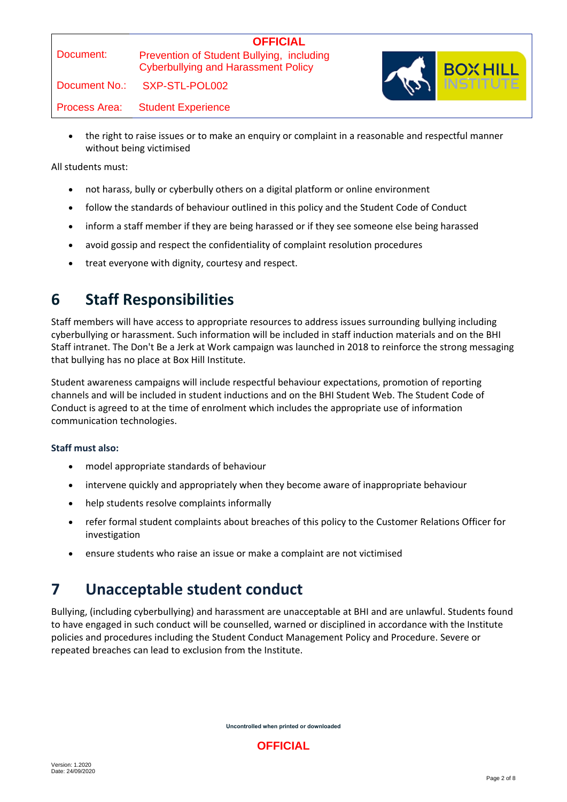#### **OFFICIAL** Prevention of Student Bullying, including Cyberbullying and Harassment Policy

Document No.: SXP-STL-POL002

Process Area: Student Experience

- 
- the right to raise issues or to make an enquiry or complaint in a reasonable and respectful manner without being victimised

All students must:

- not harass, bully or cyberbully others on a digital platform or online environment
- follow the standards of behaviour outlined in this policy and the Student Code of Conduct
- inform a staff member if they are being harassed or if they see someone else being harassed
- avoid gossip and respect the confidentiality of complaint resolution procedures
- treat everyone with dignity, courtesy and respect.

# **6 Staff Responsibilities**

Staff members will have access to appropriate resources to address issues surrounding bullying including cyberbullying or harassment. Such information will be included in staff induction materials and on the BHI Staff intranet. The Don't Be a Jerk at Work campaign was launched in 2018 to reinforce the strong messaging that bullying has no place at Box Hill Institute.

Student awareness campaigns will include respectful behaviour expectations, promotion of reporting channels and will be included in student inductions and on the BHI Student Web. The Student Code of Conduct is agreed to at the time of enrolment which includes the appropriate use of information communication technologies.

#### **Staff must also:**

- model appropriate standards of behaviour
- intervene quickly and appropriately when they become aware of inappropriate behaviour
- help students resolve complaints informally
- refer formal student complaints about breaches of this policy to the Customer Relations Officer for investigation
- ensure students who raise an issue or make a complaint are not victimised

# **7 Unacceptable student conduct**

Bullying, (including cyberbullying) and harassment are unacceptable at BHI and are unlawful. Students found to have engaged in such conduct will be counselled, warned or disciplined in accordance with the Institute policies and procedures including the Student Conduct Management Policy and Procedure. Severe or repeated breaches can lead to exclusion from the Institute.

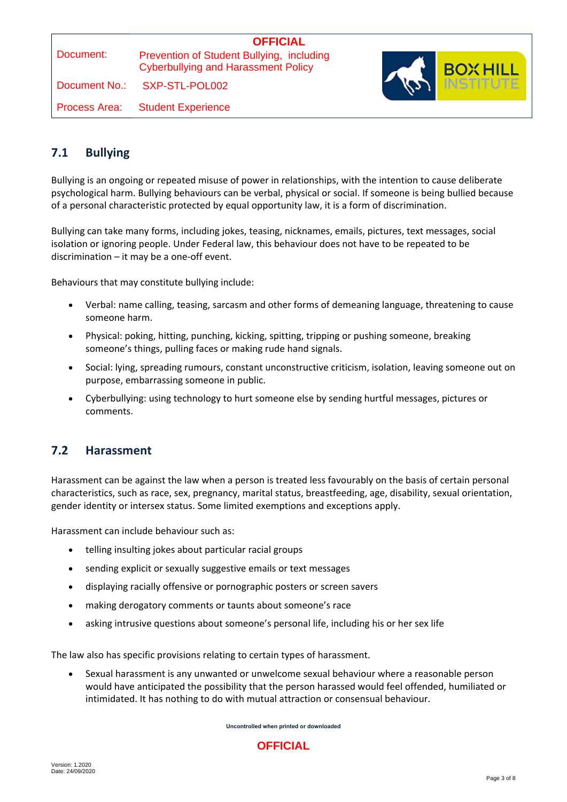# **OFFICIAL**

Prevention of Student Bullying, including Cyberbullying and Harassment Policy

Document No.: SXP-STL-POL002

Process Area: Student Experience



#### **7.1 Bullying**

Bullying is an ongoing or repeated misuse of power in relationships, with the intention to cause deliberate psychological harm. Bullying behaviours can be verbal, physical or social. If someone is being bullied because of a personal characteristic protected by equal opportunity law, it is a form of discrimination.

Bullying can take many forms, including jokes, teasing, nicknames, emails, pictures, text messages, social isolation or ignoring people. Under Federal law, this behaviour does not have to be repeated to be discrimination – it may be a one-off event.

Behaviours that may constitute bullying include:

- Verbal: name calling, teasing, sarcasm and other forms of demeaning language, threatening to cause someone harm.
- Physical: poking, hitting, punching, kicking, spitting, tripping or pushing someone, breaking someone's things, pulling faces or making rude hand signals.
- Social: lying, spreading rumours, constant unconstructive criticism, isolation, leaving someone out on purpose, embarrassing someone in public.
- Cyberbullying: using technology to hurt someone else by sending hurtful messages, pictures or comments.

#### **7.2 Harassment**

Harassment can be against the law when a person is treated less favourably on the basis of certain personal characteristics, such as race, sex, pregnancy, marital status, breastfeeding, age, disability, sexual orientation, gender identity or intersex status. Some limited exemptions and exceptions apply.

Harassment can include behaviour such as:

- telling insulting jokes about particular racial groups
- sending explicit or sexually suggestive emails or text messages
- displaying racially offensive or pornographic posters or screen savers
- making derogatory comments or taunts about someone's race
- asking intrusive questions about someone's personal life, including his or her sex life

The law also has specific provisions relating to certain types of harassment.

 Sexual harassment is any unwanted or unwelcome sexual behaviour where a reasonable person would have anticipated the possibility that the person harassed would feel offended, humiliated or intimidated. It has nothing to do with mutual attraction or consensual behaviour.

**Uncontrolled when printed or downloaded**

#### **OFFICIAL**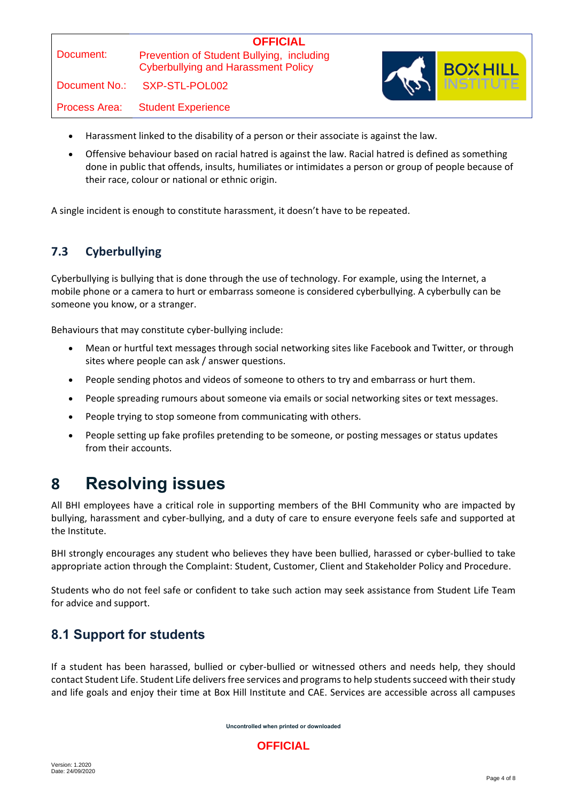| Document: |  |
|-----------|--|

Cyberbullying and Harassment Policy

Document No.: SXP-STL-POL002

Process Area: Student Experience



- Harassment linked to the disability of a person or their associate is against the law.
- Offensive behaviour based on racial hatred is against the law. Racial hatred is defined as something done in public that offends, insults, humiliates or intimidates a person or group of people because of their race, colour or national or ethnic origin.

A single incident is enough to constitute harassment, it doesn't have to be repeated.

### **7.3 Cyberbullying**

Cyberbullying is bullying that is done through the use of technology. For example, using the Internet, a mobile phone or a camera to hurt or embarrass someone is considered cyberbullying. A cyberbully can be someone you know, or a stranger.

Behaviours that may constitute cyber-bullying include:

- Mean or hurtful text messages through social networking sites like Facebook and Twitter, or through sites where people can ask / answer questions.
- People sending photos and videos of someone to others to try and embarrass or hurt them.
- People spreading rumours about someone via emails or social networking sites or text messages.
- People trying to stop someone from communicating with others.
- People setting up fake profiles pretending to be someone, or posting messages or status updates from their accounts.

# **8 Resolving issues**

All BHI employees have a critical role in supporting members of the BHI Community who are impacted by bullying, harassment and cyber-bullying, and a duty of care to ensure everyone feels safe and supported at the Institute.

BHI strongly encourages any student who believes they have been bullied, harassed or cyber-bullied to take appropriate action through the Complaint: Student, Customer, Client and Stakeholder Policy and Procedure.

Students who do not feel safe or confident to take such action may seek assistance from Student Life Team for advice and support.

### **8.1 Support for students**

If a student has been harassed, bullied or cyber-bullied or witnessed others and needs help, they should contact Student Life. Student Life delivers free services and programs to help students succeed with their study and life goals and enjoy their time at Box Hill Institute and CAE. Services are accessible across all campuses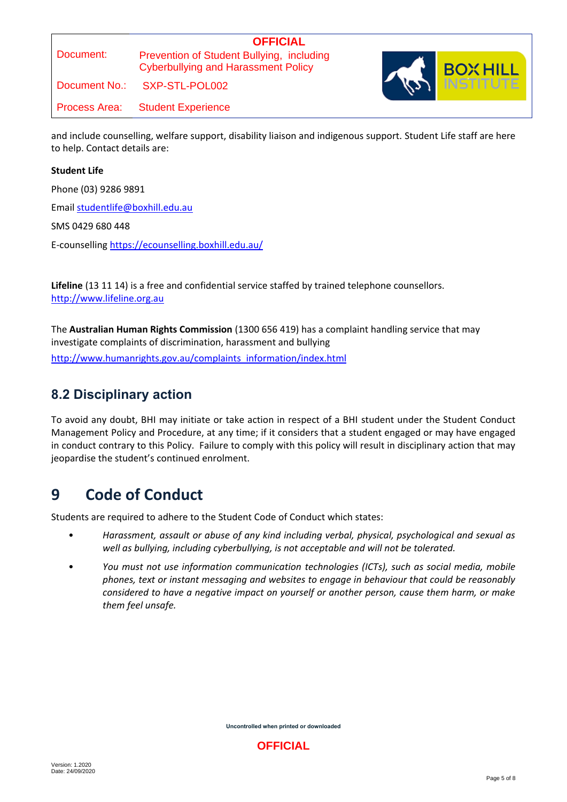#### **OFFICIAL** Prevention of Student Bullying, including Cyberbullying and Harassment Policy

Document No.: SXP-STL-POL002

Process Area: Student Experience

and include counselling, welfare support, disability liaison and indigenous support. Student Life staff are here to help. Contact details are:

#### **Student Life**

Phone (03) 9286 9891

Email [studentlife@boxhill.edu.au](mailto:studentlife@boxhill.edu.au)

SMS 0429 680 448

E-counselling<https://ecounselling.boxhill.edu.au/>

**Lifeline** (13 11 14) is a free and confidential service staffed by trained telephone counsellors. [http://www.lifeline.org.au](http://www.lifeline.org.au/)

The **Australian Human Rights Commission** (1300 656 419) has a complaint handling service that may investigate complaints of discrimination, harassment and bullying

[http://www.humanrights.gov.au/complaints\\_information/index.html](http://www.humanrights.gov.au/complaints_information/index.html)

### **8.2 Disciplinary action**

To avoid any doubt, BHI may initiate or take action in respect of a BHI student under the Student Conduct Management Policy and Procedure, at any time; if it considers that a student engaged or may have engaged in conduct contrary to this Policy. Failure to comply with this policy will result in disciplinary action that may jeopardise the student's continued enrolment.

## **9 Code of Conduct**

Students are required to adhere to the Student Code of Conduct which states:

- *Harassment, assault or abuse of any kind including verbal, physical, psychological and sexual as well as bullying, including cyberbullying, is not acceptable and will not be tolerated.*
- *You must not use information communication technologies (ICTs), such as social media, mobile phones, text or instant messaging and websites to engage in behaviour that could be reasonably considered to have a negative impact on yourself or another person, cause them harm, or make them feel unsafe.*

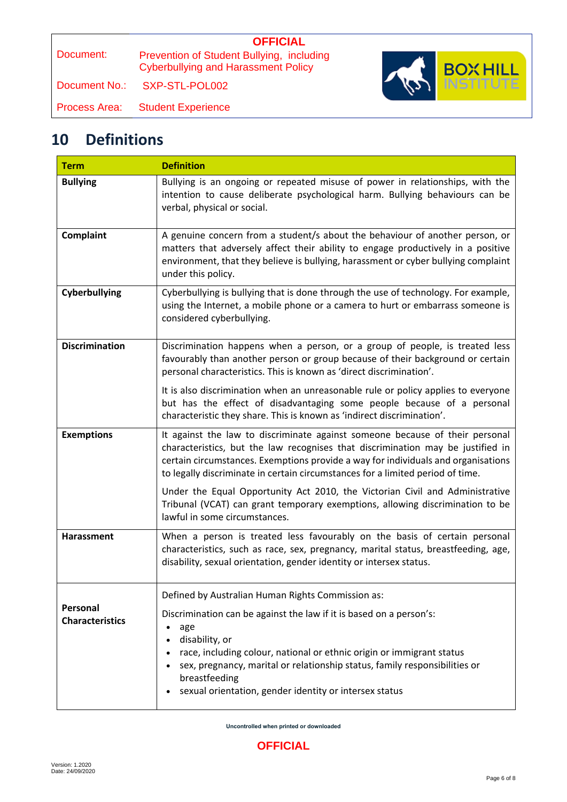# **OFFICIAL**

Prevention of Student Bullying, including Cyberbullying and Harassment Policy

Document No.: SXP-STL-POL002

Process Area: Student Experience

# **10 Definitions**

| <b>Term</b>                        | <b>Definition</b>                                                                                                                                                                                                                                                                                                                                |
|------------------------------------|--------------------------------------------------------------------------------------------------------------------------------------------------------------------------------------------------------------------------------------------------------------------------------------------------------------------------------------------------|
| <b>Bullying</b>                    | Bullying is an ongoing or repeated misuse of power in relationships, with the<br>intention to cause deliberate psychological harm. Bullying behaviours can be<br>verbal, physical or social.                                                                                                                                                     |
| Complaint                          | A genuine concern from a student/s about the behaviour of another person, or<br>matters that adversely affect their ability to engage productively in a positive<br>environment, that they believe is bullying, harassment or cyber bullying complaint<br>under this policy.                                                                     |
| Cyberbullying                      | Cyberbullying is bullying that is done through the use of technology. For example,<br>using the Internet, a mobile phone or a camera to hurt or embarrass someone is<br>considered cyberbullying.                                                                                                                                                |
| <b>Discrimination</b>              | Discrimination happens when a person, or a group of people, is treated less<br>favourably than another person or group because of their background or certain<br>personal characteristics. This is known as 'direct discrimination'.                                                                                                             |
|                                    | It is also discrimination when an unreasonable rule or policy applies to everyone<br>but has the effect of disadvantaging some people because of a personal<br>characteristic they share. This is known as 'indirect discrimination'.                                                                                                            |
| <b>Exemptions</b>                  | It against the law to discriminate against someone because of their personal<br>characteristics, but the law recognises that discrimination may be justified in<br>certain circumstances. Exemptions provide a way for individuals and organisations<br>to legally discriminate in certain circumstances for a limited period of time.           |
|                                    | Under the Equal Opportunity Act 2010, the Victorian Civil and Administrative<br>Tribunal (VCAT) can grant temporary exemptions, allowing discrimination to be<br>lawful in some circumstances.                                                                                                                                                   |
| <b>Harassment</b>                  | When a person is treated less favourably on the basis of certain personal<br>characteristics, such as race, sex, pregnancy, marital status, breastfeeding, age,<br>disability, sexual orientation, gender identity or intersex status.                                                                                                           |
|                                    | Defined by Australian Human Rights Commission as:                                                                                                                                                                                                                                                                                                |
| Personal<br><b>Characteristics</b> | Discrimination can be against the law if it is based on a person's:<br>age<br>٠<br>disability, or<br>race, including colour, national or ethnic origin or immigrant status<br>$\bullet$<br>sex, pregnancy, marital or relationship status, family responsibilities or<br>breastfeeding<br>sexual orientation, gender identity or intersex status |

**Uncontrolled when printed or downloaded**

**BOX HILL**<br>INSTITUTE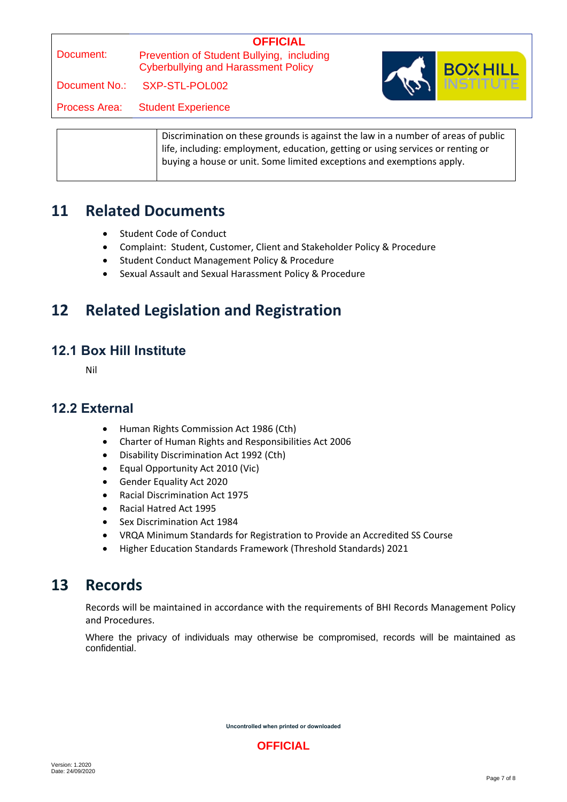# **OFFICIAL**

Prevention of Student Bullying, including Cyberbullying and Harassment Policy

Document No.: SXP-STL-POL002

Process Area: Student Experience



|  | Discrimination on these grounds is against the law in a number of areas of public<br>life, including: employment, education, getting or using services or renting or<br>buying a house or unit. Some limited exceptions and exemptions apply. |
|--|-----------------------------------------------------------------------------------------------------------------------------------------------------------------------------------------------------------------------------------------------|
|  |                                                                                                                                                                                                                                               |

### **11 Related Documents**

- Student Code of Conduct
- Complaint: Student, Customer, Client and Stakeholder Policy & Procedure
- **•** Student Conduct Management Policy & Procedure
- Sexual Assault and Sexual Harassment Policy & Procedure

# **12 Related Legislation and Registration**

### **12.1 Box Hill Institute**

Nil

#### **12.2 External**

- Human Rights Commission Act 1986 (Cth)
- Charter of Human Rights and Responsibilities Act 2006
- Disability Discrimination Act 1992 (Cth)
- Equal Opportunity Act 2010 (Vic)
- Gender Equality Act 2020
- Racial Discrimination Act 1975
- Racial Hatred Act 1995
- Sex Discrimination Act 1984
- VRQA Minimum Standards for Registration to Provide an Accredited SS Course
- Higher Education Standards Framework (Threshold Standards) 2021

## **13 Records**

Records will be maintained in accordance with the requirements of BHI Records Management Policy and Procedures.

Where the privacy of individuals may otherwise be compromised, records will be maintained as confidential.